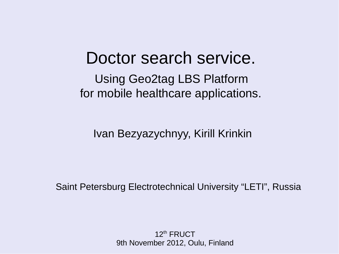#### Doctor search service.

Using Geo2tag LBS Platform for mobile healthcare applications.

Ivan Bezyazychnyy, Kirill Krinkin

Saint Petersburg Electrotechnical University "LETI", Russia

 $12<sup>th</sup>$  FRUCT 9th November 2012, Oulu, Finland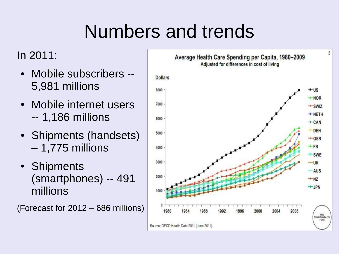## Numbers and trends

#### In 2011:

- Mobile subscribers --5,981 millions
- Mobile internet users -- 1,186 millions
- Shipments (handsets) – 1,775 millions
- Shipments (smartphones) -- 491 millions

(Forecast for 2012 – 686 millions)

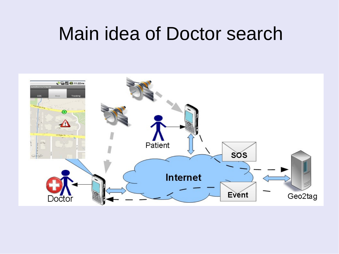#### Main idea of Doctor search

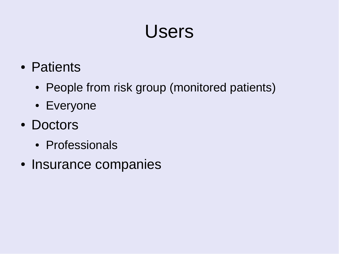#### Users

- Patients
	- People from risk group (monitored patients)
	- Everyone
- Doctors
	- Professionals
- Insurance companies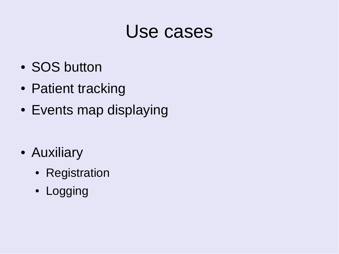#### Use cases

- SOS button
- Patient tracking
- Events map displaying
- Auxiliary
	- Registration
	- Logging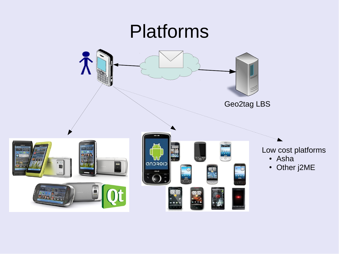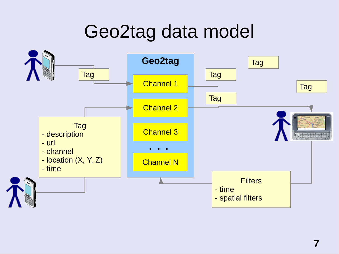#### Geo2tag data model

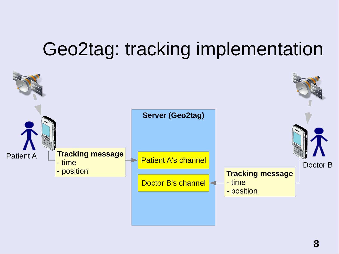#### Geo2tag: tracking implementation

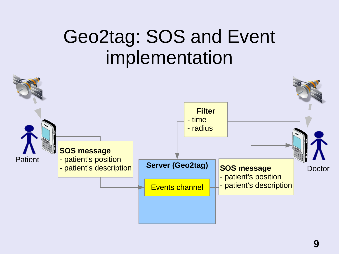#### Geo2tag: SOS and Event implementation

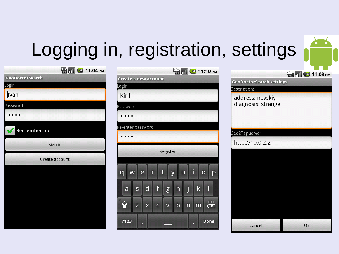# Logging in, registration, settings

**ED MI C** 11.10 PM

| <b>THE READER OF THE READER</b> |        |
|---------------------------------|--------|
| <b>GeoDoctorSearch</b>          | Creat  |
| Login                           | Login  |
| Ivan                            | Kiri   |
| Password                        | Passw  |
|                                 |        |
| Remember me                     | Re-ent |
| Sign in                         |        |
| Create account                  |        |
|                                 | q      |
|                                 |        |
|                                 | a      |
|                                 | 슝      |
|                                 |        |
|                                 | ?12    |

 $F = F$ 

| யய                                                                                                          |
|-------------------------------------------------------------------------------------------------------------|
| Create a new account                                                                                        |
| .ogin                                                                                                       |
| Kirill                                                                                                      |
| assword                                                                                                     |
|                                                                                                             |
| e-enter password                                                                                            |
|                                                                                                             |
| Register                                                                                                    |
| İ<br>$\mathsf t$<br>e<br>W<br>r<br>ū<br>$\overline{O}$<br>q<br>y<br>p                                       |
| f<br>j<br>$\mathsf k$<br>$\mathsf{d}$<br>h<br>I<br>S<br>a<br>g                                              |
| 合<br>$rac{DEL}{X}$<br>$\mathsf b$<br>$\overline{\mathsf{C}}$<br>$\overline{\mathsf{V}}$<br>Z<br>X<br>m<br>n |
| ?123<br>Done<br>7<br>0<br>п<br>Π                                                                            |

|                                        | <b>EH<sub>2</sub> 11:09 PM</b> |
|----------------------------------------|--------------------------------|
| <b>GeoDoctorSearch settings</b>        |                                |
| Description:                           |                                |
| address: nevskiy<br>diagnosis: strange |                                |
|                                        |                                |
| Geo2Tag server                         |                                |
| http://10.0.2.2                        |                                |
|                                        |                                |
|                                        |                                |
|                                        |                                |
|                                        |                                |
|                                        |                                |
|                                        |                                |
|                                        |                                |
| Cancel                                 | Ok                             |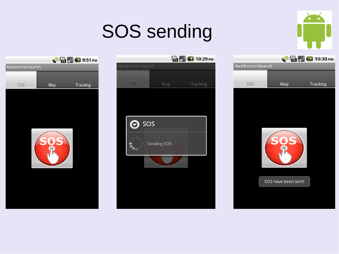## SOS sending







|                 |     | <b>MED 10:30 PM</b> |
|-----------------|-----|---------------------|
| GeoDoctorSearch |     |                     |
|                 |     |                     |
| SOS             | Map | <b>Tracking</b>     |



SOS have been sent!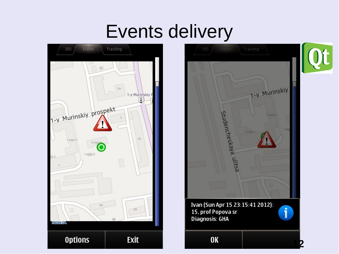#### Events delivery



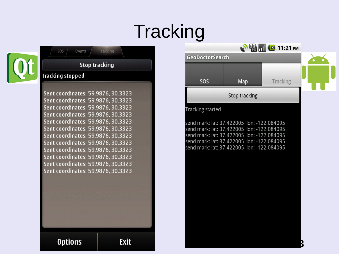## **Tracking**



#### 505 Events Tracking **Stop tracking Tracking stopped**

Sent coordinates: 59.9876, 30.3323 Sent coordinates: 59.9876, 30.3323 Sent coordinates: 59.9876, 30.3323 Sent coordinates: 59.9876. 30.3323 Sent coordinates: 59.9876, 30.3323 Sent coordinates: 59.9876, 30.3323 Sent coordinates: 59.9876, 30.3323 Sent coordinates: 59.9876, 30.3323 Sent coordinates: 59.9876, 30.3323 Sent coordinates: 59.9876, 30.3323 Sent coordinates: 59.9876, 30.3323 Sent coordinates: 59.9876, 30.3323

**Options** 

**Exit** 

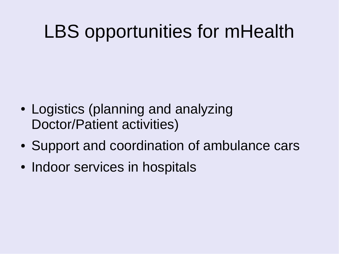#### LBS opportunities for mHealth

- Logistics (planning and analyzing Doctor/Patient activities)
- Support and coordination of ambulance cars
- Indoor services in hospitals